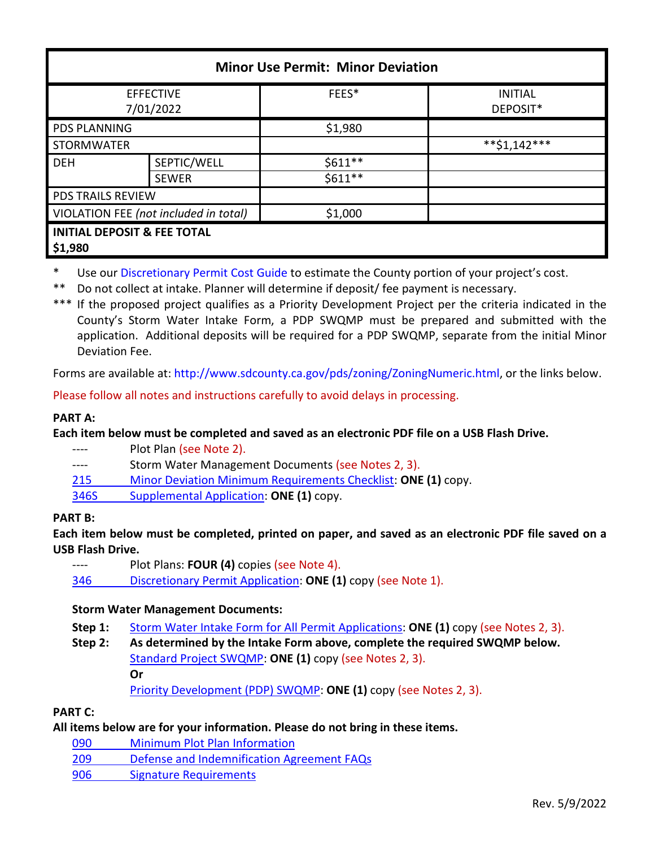| <b>Minor Use Permit: Minor Deviation</b>          |              |           |                            |  |  |
|---------------------------------------------------|--------------|-----------|----------------------------|--|--|
| <b>EFFECTIVE</b><br>7/01/2022                     |              | FEES*     | <b>INITIAL</b><br>DEPOSIT* |  |  |
| <b>PDS PLANNING</b>                               |              | \$1,980   |                            |  |  |
| <b>STORMWATER</b>                                 |              |           | $*$ *\$1,142***            |  |  |
| <b>DEH</b>                                        | SEPTIC/WELL  | $$611**$$ |                            |  |  |
|                                                   | <b>SEWER</b> | $$611**$$ |                            |  |  |
| <b>PDS TRAILS REVIEW</b>                          |              |           |                            |  |  |
| VIOLATION FEE (not included in total)             |              | \$1,000   |                            |  |  |
| <b>INITIAL DEPOSIT &amp; FEE TOTAL</b><br>\$1,980 |              |           |                            |  |  |

Use ou[r Discretionary Permit Cost Guide](http://www.sandiegocounty.gov/content/dam/sdc/pds/docs/Discretionary_Permit_Cost_Guide.xlsx) to estimate the County portion of your project's cost.

\*\* Do not collect at intake. Planner will determine if deposit/ fee payment is necessary.

\*\*\* If the proposed project qualifies as a Priority Development Project per the criteria indicated in the County's Storm Water Intake Form, a PDP SWQMP must be prepared and submitted with the application. Additional deposits will be required for a PDP SWQMP, separate from the initial Minor Deviation Fee.

Forms are available at[: http://www.sdcounty.ca.gov/pds/zoning/ZoningNumeric.html,](http://www.sdcounty.ca.gov/pds/zoning/ZoningNumeric.html) or the links below.

Please follow all notes and instructions carefully to avoid delays in processing.

### **PART A:**

**Each item below must be completed and saved as an electronic PDF file on a USB Flash Drive.**

---- Plot Plan (see Note 2).

---- Storm Water Management Documents (see Notes 2, 3).

215 [Minor Deviation Minimum Requirements Checklist:](http://www.sdcounty.ca.gov/pds/zoning/formfields/PDS-PLN-215.pdf) **ONE (1)** copy.

[346S Supplemental Application:](http://www.sdcounty.ca.gov/pds/zoning/formfields/PDS-PLN-346S.pdf) **ONE (1)** copy.

#### **PART B:**

**Each item below must be completed, printed on paper, and saved as an electronic PDF file saved on a USB Flash Drive.**

Plot Plans: **FOUR (4)** copies (see Note 4).

346 [Discretionary Permit Application:](http://www.sdcounty.ca.gov/pds/zoning/formfields/PDS-PLN-346.pdf) **ONE (1)** copy (see Note 1).

# **Storm Water Management Documents:**

**Step 1:** [Storm Water Intake Form for All Permit Applications:](http://www.sandiegocounty.gov/content/dam/sdc/pds/zoning/formfields/SWQMP-Intake-Form.pdf) **ONE (1)** copy (see Notes 2, 3).

**Step 2: As determined by the Intake Form above, complete the required SWQMP below.** [Standard Project SWQMP:](http://www.sandiegocounty.gov/content/dam/sdc/pds/zoning/formfields/SWQMP-Standard.pdf) **ONE (1)** copy (see Notes 2, 3). **Or** [Priority Development \(PDP\) SWQMP:](https://www.sandiegocounty.gov/content/sdc/dpw/watersheds/DevelopmentandConstruction/BMP_Design_Manual.html) **ONE (1)** copy (see Notes 2, 3).

# **PART C:**

**All items below are for your information. Please do not bring in these items.**

- 090 [Minimum Plot Plan Information](http://www.sdcounty.ca.gov/pds/docs/pds090.pdf)
- [209 Defense and Indemnification Agreement FAQs](http://www.sdcounty.ca.gov/pds/zoning/formfields/PDS-PLN-209.pdf)
- [906 Signature Requirements](http://www.sdcounty.ca.gov/pds/zoning/formfields/PDS-PLN-906.pdf)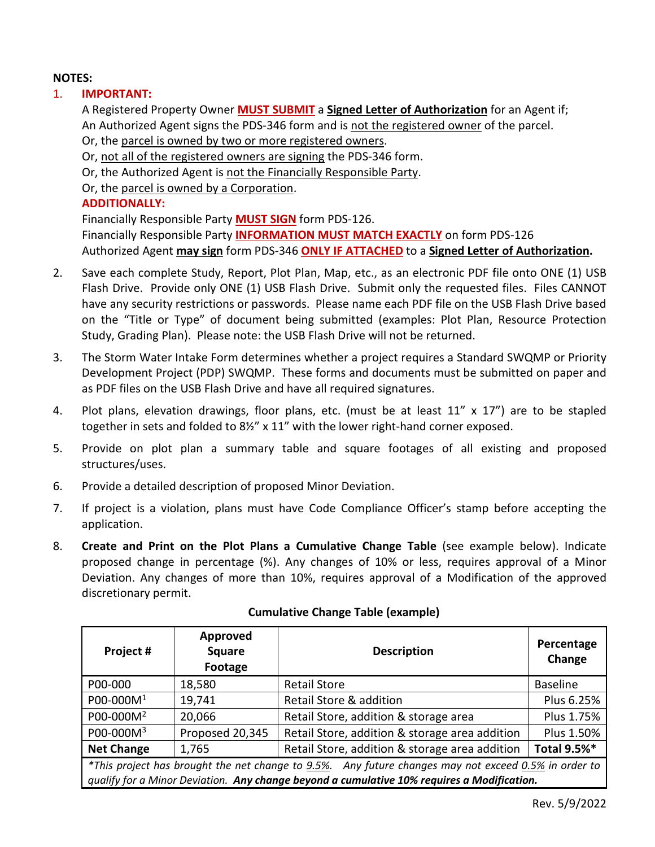## **NOTES:**

# 1. **IMPORTANT:**

A Registered Property Owner **MUST SUBMIT** a **Signed Letter of Authorization** for an Agent if; An Authorized Agent signs the PDS-346 form and is not the registered owner of the parcel. Or, the parcel is owned by two or more registered owners.

Or, not all of the registered owners are signing the PDS-346 form.

Or, the Authorized Agent is not the Financially Responsible Party.

Or, the parcel is owned by a Corporation.

## **ADDITIONALLY:**

Financially Responsible Party **MUST SIGN** form PDS-126. Financially Responsible Party **INFORMATION MUST MATCH EXACTLY** on form PDS-126 Authorized Agent **may sign** form PDS-346 **ONLY IF ATTACHED** to a **Signed Letter of Authorization.** 

- 2. Save each complete Study, Report, Plot Plan, Map, etc., as an electronic PDF file onto ONE (1) USB Flash Drive. Provide only ONE (1) USB Flash Drive. Submit only the requested files. Files CANNOT have any security restrictions or passwords. Please name each PDF file on the USB Flash Drive based on the "Title or Type" of document being submitted (examples: Plot Plan, Resource Protection Study, Grading Plan). Please note: the USB Flash Drive will not be returned.
- 3. The Storm Water Intake Form determines whether a project requires a Standard SWQMP or Priority Development Project (PDP) SWQMP. These forms and documents must be submitted on paper and as PDF files on the USB Flash Drive and have all required signatures.
- 4. Plot plans, elevation drawings, floor plans, etc. (must be at least 11" x 17") are to be stapled together in sets and folded to 8½" x 11" with the lower right-hand corner exposed.
- 5. Provide on plot plan a summary table and square footages of all existing and proposed structures/uses.
- 6. Provide a detailed description of proposed Minor Deviation.
- 7. If project is a violation, plans must have Code Compliance Officer's stamp before accepting the application.
- 8. **Create and Print on the Plot Plans a Cumulative Change Table** (see example below). Indicate proposed change in percentage (%). Any changes of 10% or less, requires approval of a Minor Deviation. Any changes of more than 10%, requires approval of a Modification of the approved discretionary permit.

| Project #                                                                                                                                                                                          | Approved<br><b>Square</b><br>Footage | <b>Description</b>                             | Percentage<br>Change |  |
|----------------------------------------------------------------------------------------------------------------------------------------------------------------------------------------------------|--------------------------------------|------------------------------------------------|----------------------|--|
| P00-000                                                                                                                                                                                            | 18,580                               | <b>Retail Store</b>                            | Baseline             |  |
| P00-000M <sup>1</sup>                                                                                                                                                                              | 19,741                               | Retail Store & addition                        | Plus 6.25%           |  |
| P00-000M <sup>2</sup>                                                                                                                                                                              | 20,066                               | Retail Store, addition & storage area          | Plus 1.75%           |  |
| P00-000M <sup>3</sup>                                                                                                                                                                              | Proposed 20,345                      | Retail Store, addition & storage area addition | Plus 1.50%           |  |
| <b>Net Change</b>                                                                                                                                                                                  | 1,765                                | Retail Store, addition & storage area addition | Total 9.5%*          |  |
| *This project has brought the net change to 9.5%. Any future changes may not exceed 0.5% in order to<br>qualify for a Minor Deviation. Any change beyond a cumulative 10% requires a Modification. |                                      |                                                |                      |  |

#### **Cumulative Change Table (example)**